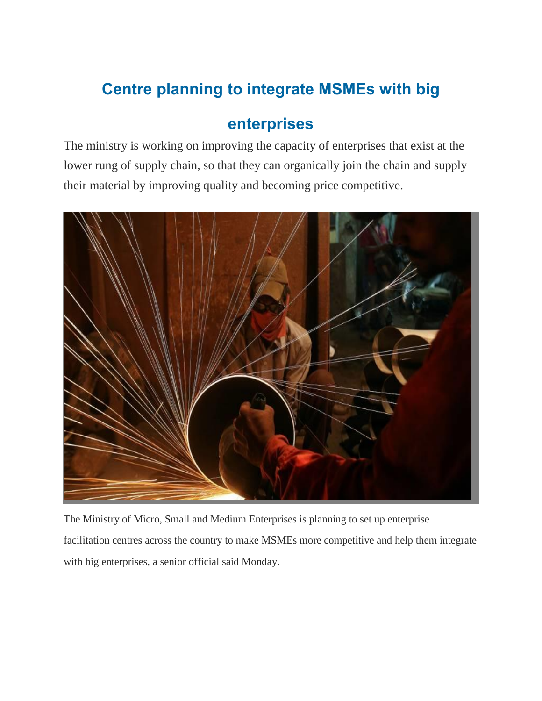## **Centre planning to integrate MSMEs with big**

## **enterprises**

The ministry is working on improving the capacity of enterprises that exist at the lower rung of supply chain, so that they can organically join the chain and supply their material by improving quality and becoming price competitive.



The Ministry of Micro, Small and Medium Enterprises is planning to set up enterprise facilitation centres across the country to make MSMEs more competitive and help them integrate with big enterprises, a senior official said Monday.